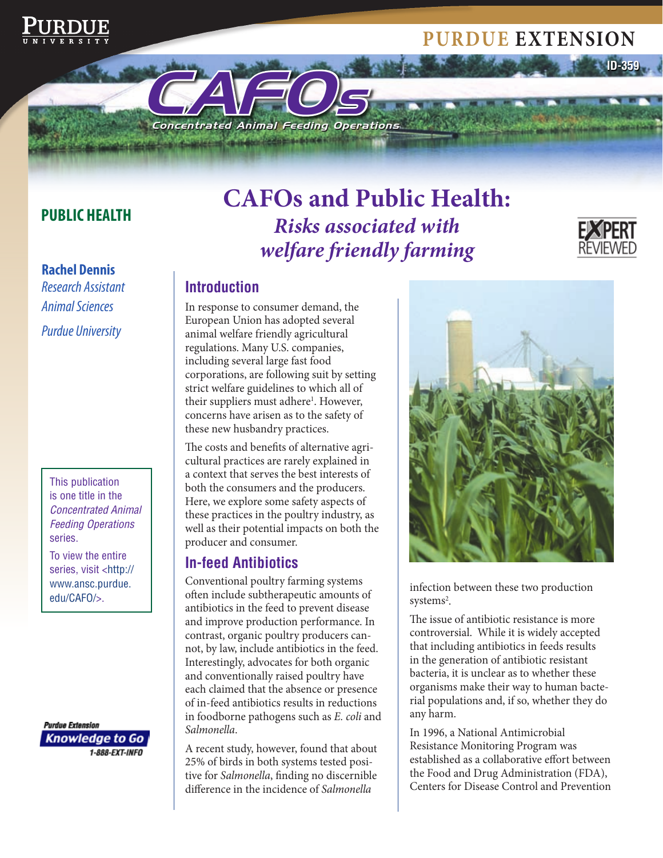# **Purdue extension**

### **PUBLIC HEALTH**

**Rachel Dennis**  *Research Assistant Animal Sciences Purdue University* 

> This publication is one title in the *Concentrated Animal Feeding Operations*  series.

To view the entire series, visit <http:// www.ansc.purdue. edu/CAFO/>.

**Purdue Extension** Knowledge to Go 1-888-EXT-INFO

# **CAFos and Public Health:**  *Risks associated with welfare friendly farming*



**ID-359**

#### **Introduction**

In response to consumer demand, the European Union has adopted several animal welfare friendly agricultural regulations. Many U.S. companies, including several large fast food corporations, are following suit by setting strict welfare guidelines to which all of their suppliers must adhere<sup>1</sup>. However, concerns have arisen as to the safety of these new husbandry practices.

Concentrated Animal Feeding Operations

CAFO<sup>s</sup>

The costs and benefits of alternative agricultural practices are rarely explained in a context that serves the best interests of both the consumers and the producers. Here, we explore some safety aspects of these practices in the poultry industry, as well as their potential impacts on both the producer and consumer.

#### **In-feed Antibiotics**

Conventional poultry farming systems often include subtherapeutic amounts of antibiotics in the feed to prevent disease and improve production performance. In contrast, organic poultry producers cannot, by law, include antibiotics in the feed. Interestingly, advocates for both organic and conventionally raised poultry have each claimed that the absence or presence of in-feed antibiotics results in reductions in foodborne pathogens such as *E. coli* and *Salmonella*.

A recent study, however, found that about 25% of birds in both systems tested positive for *Salmonella*, finding no discernible difference in the incidence of *Salmonella* 



infection between these two production systems<sup>2</sup>.

The issue of antibiotic resistance is more controversial. While it is widely accepted that including antibiotics in feeds results in the generation of antibiotic resistant bacteria, it is unclear as to whether these organisms make their way to human bacterial populations and, if so, whether they do any harm.

In 1996, a National Antimicrobial Resistance Monitoring Program was established as a collaborative effort between the Food and Drug Administration (FDA), Centers for Disease Control and Prevention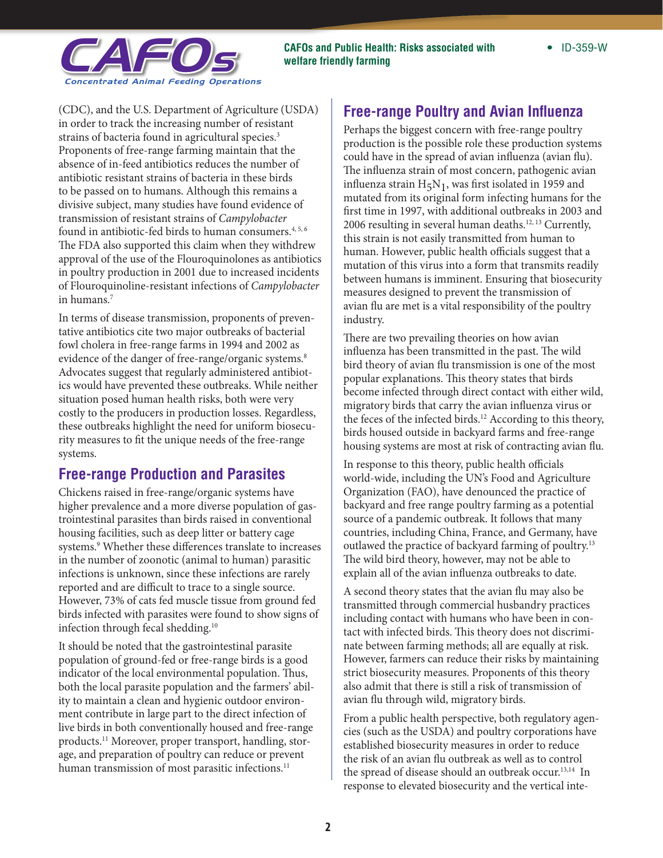

strains of bacteria found in agricultural species.<sup>3</sup> transmission of resistant strains of *Campylobacter* (CDC), and the U.S. Department of Agriculture (USDA) in order to track the increasing number of resistant Proponents of free-range farming maintain that the absence of in-feed antibiotics reduces the number of antibiotic resistant strains of bacteria in these birds to be passed on to humans. Although this remains a divisive subject, many studies have found evidence of found in antibiotic-fed birds to human consumers.<sup>4, 5, 6</sup> The FDA also supported this claim when they withdrew approval of the use of the Flouroquinolones as antibiotics in poultry production in 2001 due to increased incidents of Flouroquinoline-resistant infections of *Campylobacter*  in humans.7

evidence of the danger of free-range/organic systems.<sup>8</sup> In terms of disease transmission, proponents of preventative antibiotics cite two major outbreaks of bacterial fowl cholera in free-range farms in 1994 and 2002 as Advocates suggest that regularly administered antibiotics would have prevented these outbreaks. While neither situation posed human health risks, both were very costly to the producers in production losses. Regardless, these outbreaks highlight the need for uniform biosecurity measures to fit the unique needs of the free-range systems.

#### **Free-range Production and Parasites**

Chickens raised in free-range/organic systems have higher prevalence and a more diverse population of gastrointestinal parasites than birds raised in conventional housing facilities, such as deep litter or battery cage systems.<sup>9</sup> Whether these differences translate to increases in the number of zoonotic (animal to human) parasitic infections is unknown, since these infections are rarely reported and are difficult to trace to a single source. However, 73% of cats fed muscle tissue from ground fed birds infected with parasites were found to show signs of infection through fecal shedding.10

It should be noted that the gastrointestinal parasite population of ground-fed or free-range birds is a good indicator of the local environmental population. Thus, both the local parasite population and the farmers' ability to maintain a clean and hygienic outdoor environment contribute in large part to the direct infection of live birds in both conventionally housed and free-range products.11 Moreover, proper transport, handling, storage, and preparation of poultry can reduce or prevent human transmission of most parasitic infections.<sup>11</sup>

### **Free-range Poultry and Avian Influenza**

Perhaps the biggest concern with free-range poultry production is the possible role these production systems could have in the spread of avian influenza (avian flu). The influenza strain of most concern, pathogenic avian influenza strain  $H_5N_1$ , was first isolated in 1959 and mutated from its original form infecting humans for the first time in 1997, with additional outbreaks in 2003 and 2006 resulting in several human deaths.<sup>12, 13</sup> Currently, this strain is not easily transmitted from human to human. However, public health officials suggest that a mutation of this virus into a form that transmits readily between humans is imminent. Ensuring that biosecurity measures designed to prevent the transmission of avian flu are met is a vital responsibility of the poultry industry.

There are two prevailing theories on how avian influenza has been transmitted in the past. The wild bird theory of avian flu transmission is one of the most popular explanations. This theory states that birds become infected through direct contact with either wild, migratory birds that carry the avian influenza virus or the feces of the infected birds.<sup>12</sup> According to this theory, birds housed outside in backyard farms and free-range housing systems are most at risk of contracting avian flu.

In response to this theory, public health officials world-wide, including the UN's Food and Agriculture Organization (FAO), have denounced the practice of backyard and free range poultry farming as a potential source of a pandemic outbreak. It follows that many countries, including China, France, and Germany, have outlawed the practice of backyard farming of poultry.13 The wild bird theory, however, may not be able to explain all of the avian influenza outbreaks to date.

A second theory states that the avian flu may also be transmitted through commercial husbandry practices including contact with humans who have been in contact with infected birds. This theory does not discriminate between farming methods; all are equally at risk. However, farmers can reduce their risks by maintaining strict biosecurity measures. Proponents of this theory also admit that there is still a risk of transmission of avian flu through wild, migratory birds.

From a public health perspective, both regulatory agencies (such as the USDA) and poultry corporations have established biosecurity measures in order to reduce the risk of an avian flu outbreak as well as to control the spread of disease should an outbreak occur.<sup>13,14</sup> In response to elevated biosecurity and the vertical inte